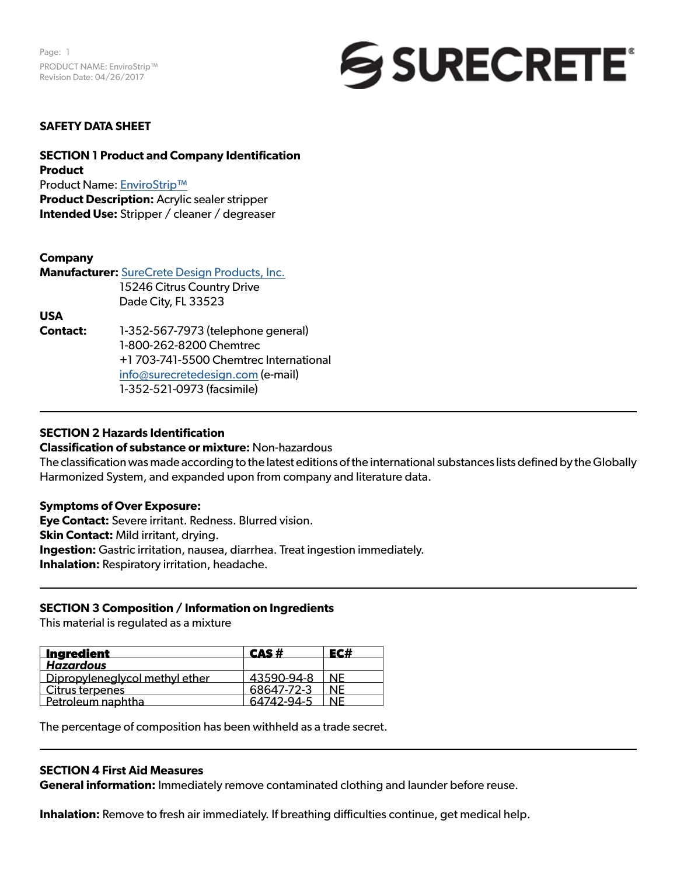

## **SAFETY DATA SHEET**

**SECTION 1 Product and Company Identification Product** Product Name: [EnviroStrip™](https://www.surecretedesign.com/product/acrylic-sealer-stripper/) **Product Description:** Acrylic sealer stripper **Intended Use:** Stripper / cleaner / degreaser

## **Company**

**Manufacturer:** [SureCrete Design Products, Inc.](https://www.surecretedesign.com/) 15246 Citrus Country Drive Dade City, FL 33523

**USA**

**Contact:** 1-352-567-7973 (telephone general) 1-800-262-8200 Chemtrec +1 703-741-5500 Chemtrec International [info@surecretedesign.com](mailto:info%40surecretedesign.com?subject=EnviroStrip%20-%20SDS%20Inquiry) (e-mail) 1-352-521-0973 (facsimile)

## **SECTION 2 Hazards Identification**

### **Classification of substance or mixture:** Non-hazardous

The classification was made according to the latest editions of the international substances lists defined by the Globally Harmonized System, and expanded upon from company and literature data.

### **Symptoms of Over Exposure:**

**Eye Contact:** Severe irritant. Redness. Blurred vision. **Skin Contact:** Mild irritant, drying. **Ingestion:** Gastric irritation, nausea, diarrhea. Treat ingestion immediately. **Inhalation:** Respiratory irritation, headache.

## **SECTION 3 Composition / Information on Ingredients**

This material is regulated as a mixture

| Ingredient                     | CAS#       |    |
|--------------------------------|------------|----|
| <b>Hazardous</b>               |            |    |
| Dipropyleneglycol methyl ether | 43590-94-8 | NF |
| Citrus terpenes                | 68647-72-3 | NF |
| Petroleum naphtha              | 64742-94-5 | NF |

The percentage of composition has been withheld as a trade secret.

### **SECTION 4 First Aid Measures**

**General information:** Immediately remove contaminated clothing and launder before reuse.

**Inhalation:** Remove to fresh air immediately. If breathing difficulties continue, get medical help.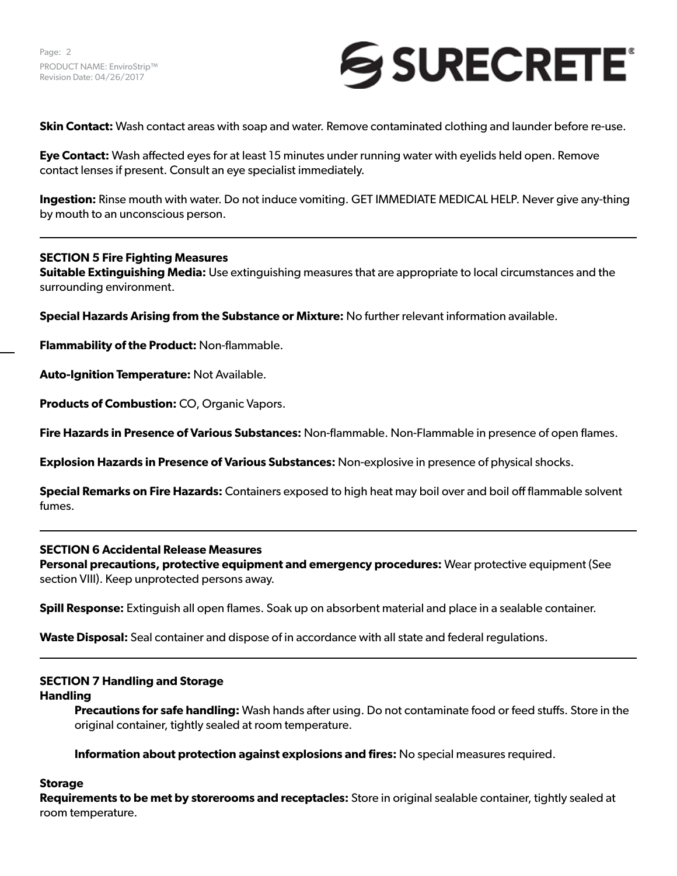

**Skin Contact:** Wash contact areas with soap and water. Remove contaminated clothing and launder before re-use.

**Eye Contact:** Wash affected eyes for at least 15 minutes under running water with eyelids held open. Remove contact lenses if present. Consult an eye specialist immediately.

**Ingestion:** Rinse mouth with water. Do not induce vomiting. GET IMMEDIATE MEDICAL HELP. Never give any-thing by mouth to an unconscious person.

## **SECTION 5 Fire Fighting Measures**

**Suitable Extinguishing Media:** Use extinguishing measures that are appropriate to local circumstances and the surrounding environment.

**Special Hazards Arising from the Substance or Mixture:** No further relevant information available.

**Flammability of the Product:** Non-flammable.

**Auto-Ignition Temperature:** Not Available.

**Products of Combustion:** CO, Organic Vapors.

**Fire Hazards in Presence of Various Substances:** Non-flammable. Non-Flammable in presence of open flames.

**Explosion Hazards in Presence of Various Substances:** Non-explosive in presence of physical shocks.

**Special Remarks on Fire Hazards:** Containers exposed to high heat may boil over and boil off flammable solvent fumes.

## **SECTION 6 Accidental Release Measures**

**Personal precautions, protective equipment and emergency procedures:** Wear protective equipment (See section VIII). Keep unprotected persons away.

**Spill Response:** Extinguish all open flames. Soak up on absorbent material and place in a sealable container.

**Waste Disposal:** Seal container and dispose of in accordance with all state and federal regulations.

### **SECTION 7 Handling and Storage**

### **Handling**

**Precautions for safe handling:** Wash hands after using. Do not contaminate food or feed stuffs. Store in the original container, tightly sealed at room temperature.

**Information about protection against explosions and fires:** No special measures required.

### **Storage**

**Requirements to be met by storerooms and receptacles:** Store in original sealable container, tightly sealed at room temperature.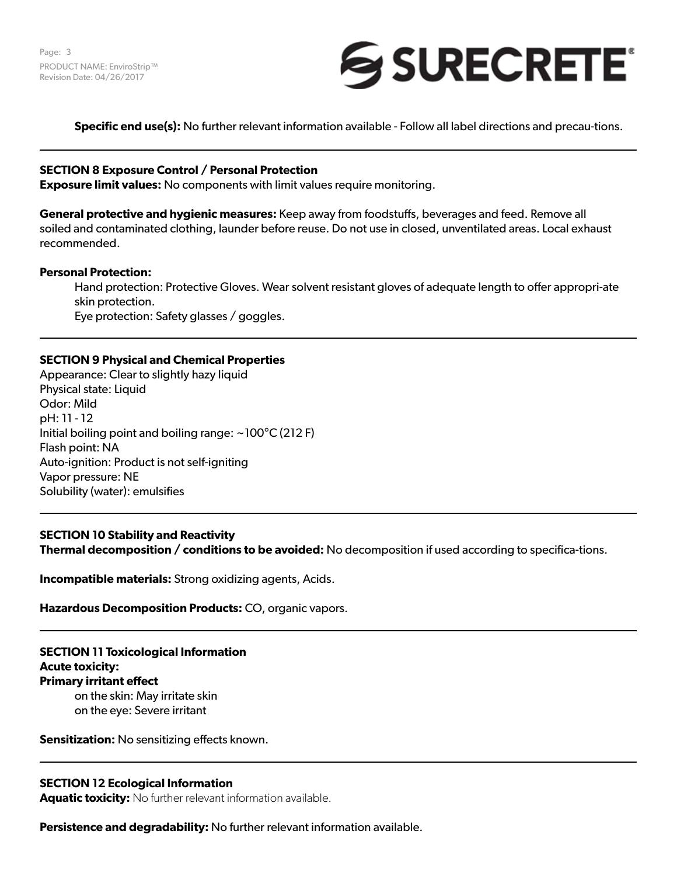

**Specific end use(s):** No further relevant information available - Follow all label directions and precau-tions.

## **SECTION 8 Exposure Control / Personal Protection**

**Exposure limit values:** No components with limit values require monitoring.

**General protective and hygienic measures:** Keep away from foodstuffs, beverages and feed. Remove all soiled and contaminated clothing, launder before reuse. Do not use in closed, unventilated areas. Local exhaust recommended.

### **Personal Protection:**

Hand protection: Protective Gloves. Wear solvent resistant gloves of adequate length to offer appropri-ate skin protection.

Eye protection: Safety glasses / goggles.

## **SECTION 9 Physical and Chemical Properties**

Appearance: Clear to slightly hazy liquid Physical state: Liquid Odor: Mild pH: 11 - 12 Initial boiling point and boiling range:  $\sim$ 100 $\degree$ C (212 F) Flash point: NA Auto-ignition: Product is not self-igniting Vapor pressure: NE Solubility (water): emulsifies

## **SECTION 10 Stability and Reactivity Thermal decomposition / conditions to be avoided:** No decomposition if used according to specifica-tions.

**Incompatible materials:** Strong oxidizing agents, Acids.

**Hazardous Decomposition Products:** CO, organic vapors.

**SECTION 11 Toxicological Information Acute toxicity: Primary irritant effect**  on the skin: May irritate skin on the eye: Severe irritant

**Sensitization:** No sensitizing effects known.

### **SECTION 12 Ecological Information**

**Aquatic toxicity:** No further relevant information available.

**Persistence and degradability:** No further relevant information available.